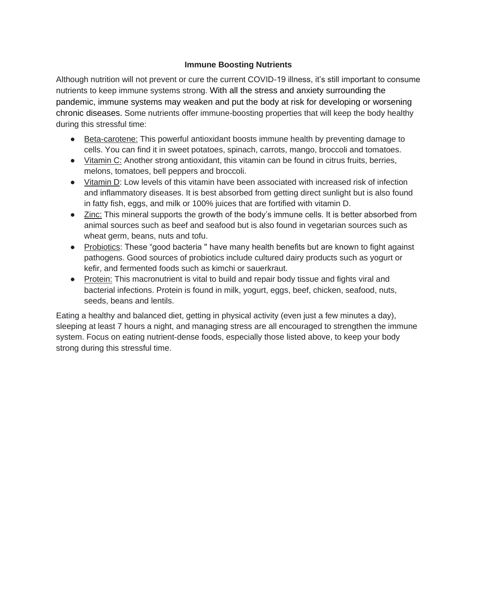### **Immune Boosting Nutrients**

Although nutrition will not prevent or cure the current COVID-19 illness, it's still important to consume nutrients to keep immune systems strong. With all the stress and anxiety surrounding the pandemic, immune systems may weaken and put the body at risk for developing or worsening chronic diseases. Some nutrients offer immune-boosting properties that will keep the body healthy during this stressful time:

- Beta-carotene: This powerful antioxidant boosts immune health by preventing damage to cells. You can find it in sweet potatoes, spinach, carrots, mango, broccoli and tomatoes.
- Vitamin C: Another strong antioxidant, this vitamin can be found in citrus fruits, berries, melons, tomatoes, bell peppers and broccoli.
- Vitamin D: Low levels of this vitamin have been associated with increased risk of infection and inflammatory diseases. It is best absorbed from getting direct sunlight but is also found in fatty fish, eggs, and milk or 100% juices that are fortified with vitamin D.
- Zinc: This mineral supports the growth of the body's immune cells. It is better absorbed from animal sources such as beef and seafood but is also found in vegetarian sources such as wheat germ, beans, nuts and tofu.
- Probiotics: These "good bacteria " have many health benefits but are known to fight against pathogens. Good sources of probiotics include cultured dairy products such as yogurt or kefir, and fermented foods such as kimchi or sauerkraut.
- Protein: This macronutrient is vital to build and repair body tissue and fights viral and bacterial infections. Protein is found in milk, yogurt, eggs, beef, chicken, seafood, nuts, seeds, beans and lentils.

Eating a healthy and balanced diet, getting in physical activity (even just a few minutes a day), sleeping at least 7 hours a night, and managing stress are all encouraged to strengthen the immune system. Focus on eating nutrient-dense foods, especially those listed above, to keep your body strong during this stressful time.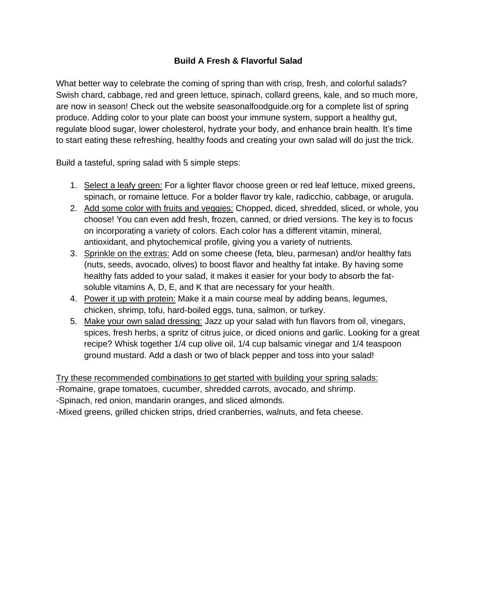# **Build A Fresh & Flavorful Salad**

What better way to celebrate the coming of spring than with crisp, fresh, and colorful salads? Swish chard, cabbage, red and green lettuce, spinach, collard greens, kale, and so much more, are now in season! Check out the website seasonalfoodguide.org for a complete list of spring produce. Adding color to your plate can boost your immune system, support a healthy gut, regulate blood sugar, lower cholesterol, hydrate your body, and enhance brain health. It's time to start eating these refreshing, healthy foods and creating your own salad will do just the trick.

Build a tasteful, spring salad with 5 simple steps:

- 1. Select a leafy green: For a lighter flavor choose green or red leaf lettuce, mixed greens, spinach, or romaine lettuce. For a bolder flavor try kale, radicchio, cabbage, or arugula.
- 2. Add some color with fruits and veggies: Chopped, diced, shredded, sliced, or whole, you choose! You can even add fresh, frozen, canned, or dried versions. The key is to focus on incorporating a variety of colors. Each color has a different vitamin, mineral, antioxidant, and phytochemical profile, giving you a variety of nutrients.
- 3. Sprinkle on the extras: Add on some cheese (feta, bleu, parmesan) and/or healthy fats (nuts, seeds, avocado, olives) to boost flavor and healthy fat intake. By having some healthy fats added to your salad, it makes it easier for your body to absorb the fatsoluble vitamins A, D, E, and K that are necessary for your health.
- 4. Power it up with protein: Make it a main course meal by adding beans, legumes, chicken, shrimp, tofu, hard-boiled eggs, tuna, salmon, or turkey.
- 5. Make your own salad dressing: Jazz up your salad with fun flavors from oil, vinegars, spices, fresh herbs, a spritz of citrus juice, or diced onions and garlic. Looking for a great recipe? Whisk together 1/4 cup olive oil, 1/4 cup balsamic vinegar and 1/4 teaspoon ground mustard. Add a dash or two of black pepper and toss into your salad!

Try these recommended combinations to get started with building your spring salads:

-Romaine, grape tomatoes, cucumber, shredded carrots, avocado, and shrimp.

-Spinach, red onion, mandarin oranges, and sliced almonds.

-Mixed greens, grilled chicken strips, dried cranberries, walnuts, and feta cheese.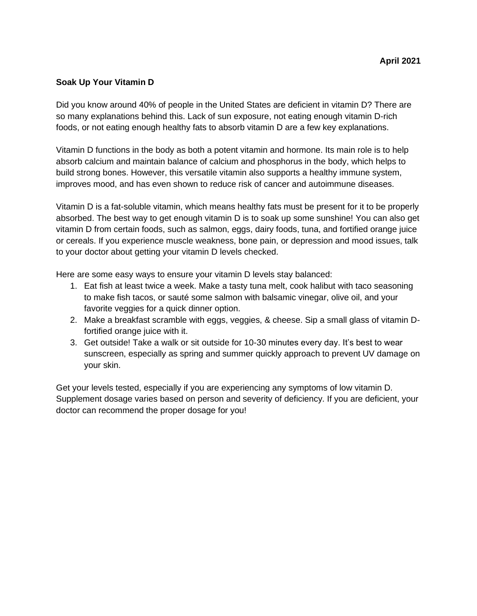## **Soak Up Your Vitamin D**

Did you know around 40% of people in the United States are deficient in vitamin D? There are so many explanations behind this. Lack of sun exposure, not eating enough vitamin D-rich foods, or not eating enough healthy fats to absorb vitamin D are a few key explanations.

Vitamin D functions in the body as both a potent vitamin and hormone. Its main role is to help absorb calcium and maintain balance of calcium and phosphorus in the body, which helps to build strong bones. However, this versatile vitamin also supports a healthy immune system, improves mood, and has even shown to reduce risk of cancer and autoimmune diseases.

Vitamin D is a fat-soluble vitamin, which means healthy fats must be present for it to be properly absorbed. The best way to get enough vitamin D is to soak up some sunshine! You can also get vitamin D from certain foods, such as salmon, eggs, dairy foods, tuna, and fortified orange juice or cereals. If you experience muscle weakness, bone pain, or depression and mood issues, talk to your doctor about getting your vitamin D levels checked.

Here are some easy ways to ensure your vitamin D levels stay balanced:

- 1. Eat fish at least twice a week. Make a tasty tuna melt, cook halibut with taco seasoning to make fish tacos, or sauté some salmon with balsamic vinegar, olive oil, and your favorite veggies for a quick dinner option.
- 2. Make a breakfast scramble with eggs, veggies, & cheese. Sip a small glass of vitamin Dfortified orange juice with it.
- 3. Get outside! Take a walk or sit outside for 10-30 minutes every day. It's best to wear sunscreen, especially as spring and summer quickly approach to prevent UV damage on your skin.

Get your levels tested, especially if you are experiencing any symptoms of low vitamin D. Supplement dosage varies based on person and severity of deficiency. If you are deficient, your doctor can recommend the proper dosage for you!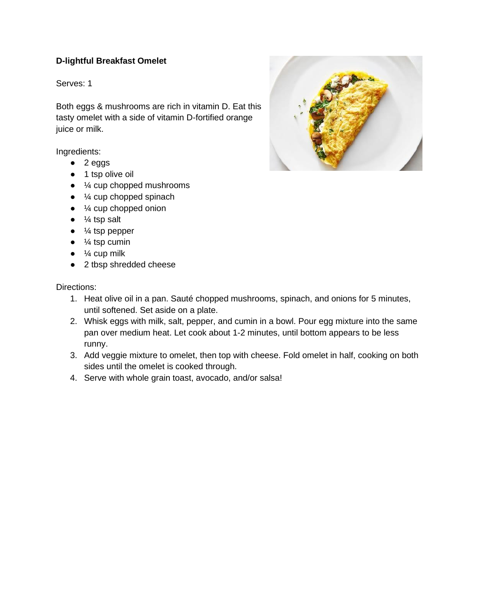# **D-lightful Breakfast Omelet**

Serves: 1

Both eggs & mushrooms are rich in vitamin D. Eat this tasty omelet with a side of vitamin D-fortified orange juice or milk.

Ingredients:

- $\bullet$  2 eggs
- 1 tsp olive oil
- $\bullet$   $\frac{1}{4}$  cup chopped mushrooms
- $\bullet$   $\frac{1}{4}$  cup chopped spinach
- $\bullet$   $\frac{1}{4}$  cup chopped onion
- $\bullet$   $\frac{1}{4}$  tsp salt
- $\bullet$   $\frac{1}{4}$  tsp pepper
- $\bullet$   $\frac{1}{4}$  tsp cumin
- $\bullet$   $\frac{1}{4}$  cup milk
- 2 tbsp shredded cheese

- 1. Heat olive oil in a pan. Sauté chopped mushrooms, spinach, and onions for 5 minutes, until softened. Set aside on a plate.
- 2. Whisk eggs with milk, salt, pepper, and cumin in a bowl. Pour egg mixture into the same pan over medium heat. Let cook about 1-2 minutes, until bottom appears to be less runny.
- 3. Add veggie mixture to omelet, then top with cheese. Fold omelet in half, cooking on both sides until the omelet is cooked through.
- 4. Serve with whole grain toast, avocado, and/or salsa!

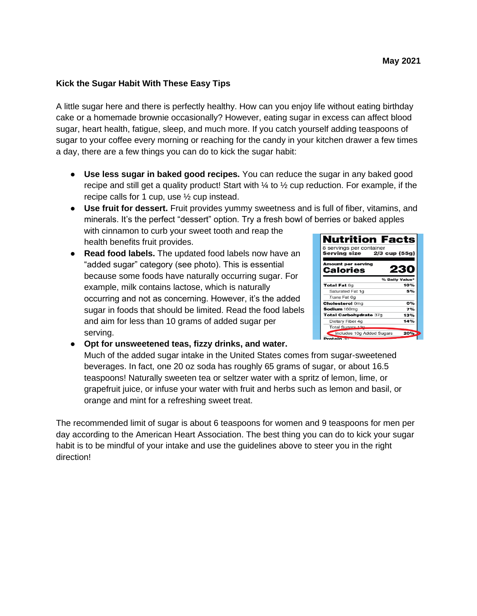### **Kick the Sugar Habit With These Easy Tips**

A little sugar here and there is perfectly healthy. How can you enjoy life without eating birthday cake or a homemade brownie occasionally? However, eating sugar in excess can affect blood sugar, heart health, fatigue, sleep, and much more. If you catch yourself adding teaspoons of sugar to your coffee every morning or reaching for the candy in your kitchen drawer a few times a day, there are a few things you can do to kick the sugar habit:

- **Use less sugar in baked good recipes.** You can reduce the sugar in any baked good recipe and still get a quality product! Start with  $\frac{1}{4}$  to  $\frac{1}{2}$  cup reduction. For example, if the recipe calls for 1 cup, use ½ cup instead.
- **Use fruit for dessert.** Fruit provides yummy sweetness and is full of fiber, vitamins, and minerals. It's the perfect "dessert" option. Try a fresh bowl of berries or baked apples with cinnamon to curb your sweet tooth and reap the

health benefits fruit provides.

● **Read food labels.** The updated food labels now have an "added sugar" category (see photo). This is essential because some foods have naturally occurring sugar. For example, milk contains lactose, which is naturally occurring and not as concerning. However, it's the added sugar in foods that should be limited. Read the food labels and aim for less than 10 grams of added sugar per serving.

| 8 servings per container       |                |
|--------------------------------|----------------|
|                                |                |
| Serving size 2/3 cup (55g)     |                |
| Amount per serving<br>Calories | 23             |
|                                | % Daily Value* |
| Total Fat 8g                   | 10%            |
| Saturated Fat 1q               | 5%             |
| Trans Fat 0g                   |                |
| <b>Cholesterol Omg</b>         | о%             |
| Sodium 160mg                   | 7%             |
| <b>Total Carbohydrate 37g</b>  | 13%            |
| Dietary Fiber 4g               | 14%            |
| Total Sugars 12g               |                |
|                                | $20% +$        |

● **Opt for unsweetened teas, fizzy drinks, and water.** Much of the added sugar intake in the United States comes from sugar-sweetened beverages. In fact, one 20 oz soda has roughly 65 grams of sugar, or about 16.5 teaspoons! Naturally sweeten tea or seltzer water with a spritz of lemon, lime, or grapefruit juice, or infuse your water with fruit and herbs such as lemon and basil, or orange and mint for a refreshing sweet treat.

The recommended limit of sugar is about 6 teaspoons for women and 9 teaspoons for men per day according to the American Heart Association. The best thing you can do to kick your sugar habit is to be mindful of your intake and use the guidelines above to steer you in the right direction!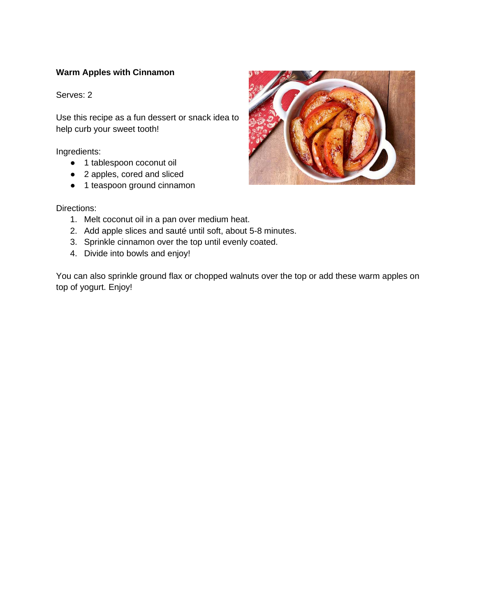# **Warm Apples with Cinnamon**

Serves: 2

Use this recipe as a fun dessert or snack idea to help curb your sweet tooth!

Ingredients:

- 1 tablespoon coconut oil
- 2 apples, cored and sliced
- 1 teaspoon ground cinnamon



Directions:

- 1. Melt coconut oil in a pan over medium heat.
- 2. Add apple slices and sauté until soft, about 5-8 minutes.
- 3. Sprinkle cinnamon over the top until evenly coated.
- 4. Divide into bowls and enjoy!

You can also sprinkle ground flax or chopped walnuts over the top or add these warm apples on top of yogurt. Enjoy!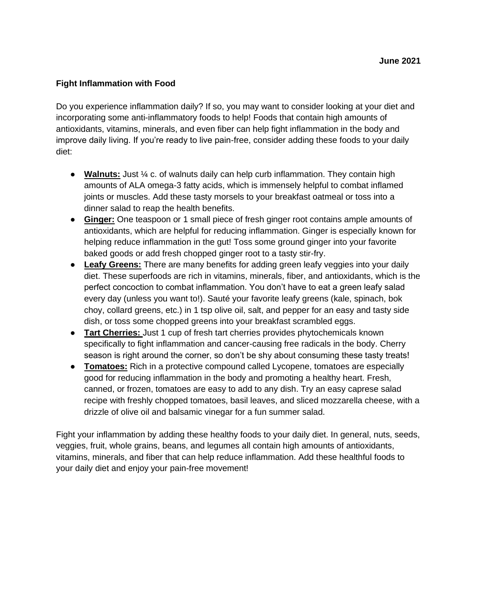## **Fight Inflammation with Food**

Do you experience inflammation daily? If so, you may want to consider looking at your diet and incorporating some anti-inflammatory foods to help! Foods that contain high amounts of antioxidants, vitamins, minerals, and even fiber can help fight inflammation in the body and improve daily living. If you're ready to live pain-free, consider adding these foods to your daily diet:

- **Walnuts:** Just ¼ c. of walnuts daily can help curb inflammation. They contain high amounts of ALA omega-3 fatty acids, which is immensely helpful to combat inflamed joints or muscles. Add these tasty morsels to your breakfast oatmeal or toss into a dinner salad to reap the health benefits.
- **Ginger:** One teaspoon or 1 small piece of fresh ginger root contains ample amounts of antioxidants, which are helpful for reducing inflammation. Ginger is especially known for helping reduce inflammation in the gut! Toss some ground ginger into your favorite baked goods or add fresh chopped ginger root to a tasty stir-fry.
- **Leafy Greens:** There are many benefits for adding green leafy veggies into your daily diet. These superfoods are rich in vitamins, minerals, fiber, and antioxidants, which is the perfect concoction to combat inflammation. You don't have to eat a green leafy salad every day (unless you want to!). Sauté your favorite leafy greens (kale, spinach, bok choy, collard greens, etc.) in 1 tsp olive oil, salt, and pepper for an easy and tasty side dish, or toss some chopped greens into your breakfast scrambled eggs.
- **Tart Cherries:** Just 1 cup of fresh tart cherries provides phytochemicals known specifically to fight inflammation and cancer-causing free radicals in the body. Cherry season is right around the corner, so don't be shy about consuming these tasty treats!
- **Tomatoes:** Rich in a protective compound called Lycopene, tomatoes are especially good for reducing inflammation in the body and promoting a healthy heart. Fresh, canned, or frozen, tomatoes are easy to add to any dish. Try an easy caprese salad recipe with freshly chopped tomatoes, basil leaves, and sliced mozzarella cheese, with a drizzle of olive oil and balsamic vinegar for a fun summer salad.

Fight your inflammation by adding these healthy foods to your daily diet. In general, nuts, seeds, veggies, fruit, whole grains, beans, and legumes all contain high amounts of antioxidants, vitamins, minerals, and fiber that can help reduce inflammation. Add these healthful foods to your daily diet and enjoy your pain-free movement!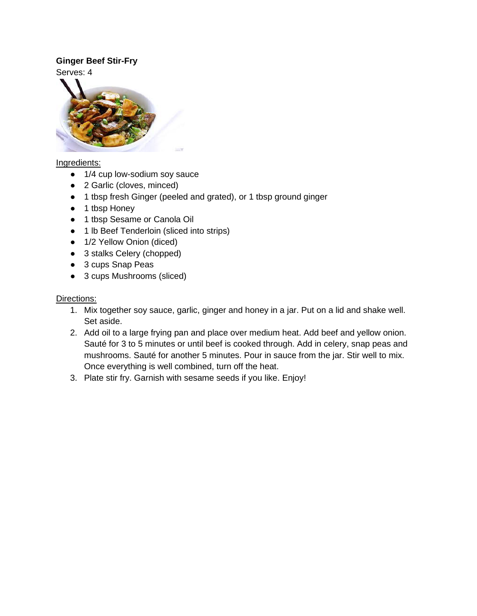# **Ginger Beef Stir-Fry**

Serves: 4



## Ingredients:

- 1/4 cup low-sodium soy sauce
- 2 Garlic (cloves, minced)
- 1 tbsp fresh Ginger (peeled and grated), or 1 tbsp ground ginger
- 1 tbsp Honey
- 1 tbsp Sesame or Canola Oil
- 1 lb Beef Tenderloin (sliced into strips)
- 1/2 Yellow Onion (diced)
- 3 stalks Celery (chopped)
- 3 cups Snap Peas
- 3 cups Mushrooms (sliced)

- 1. Mix together soy sauce, garlic, ginger and honey in a jar. Put on a lid and shake well. Set aside.
- 2. Add oil to a large frying pan and place over medium heat. Add beef and yellow onion. Sauté for 3 to 5 minutes or until beef is cooked through. Add in celery, snap peas and mushrooms. Sauté for another 5 minutes. Pour in sauce from the jar. Stir well to mix. Once everything is well combined, turn off the heat.
- 3. Plate stir fry. Garnish with sesame seeds if you like. Enjoy!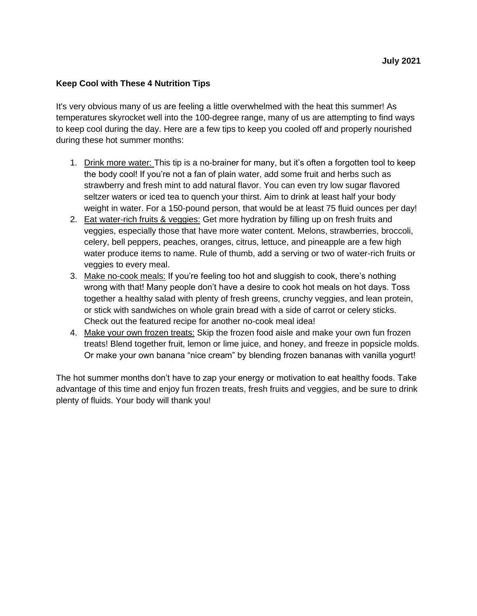## **Keep Cool with These 4 Nutrition Tips**

It's very obvious many of us are feeling a little overwhelmed with the heat this summer! As temperatures skyrocket well into the 100-degree range, many of us are attempting to find ways to keep cool during the day. Here are a few tips to keep you cooled off and properly nourished during these hot summer months:

- 1. Drink more water: This tip is a no-brainer for many, but it's often a forgotten tool to keep the body cool! If you're not a fan of plain water, add some fruit and herbs such as strawberry and fresh mint to add natural flavor. You can even try low sugar flavored seltzer waters or iced tea to quench your thirst. Aim to drink at least half your body weight in water. For a 150-pound person, that would be at least 75 fluid ounces per day!
- 2. Eat water-rich fruits & veggies: Get more hydration by filling up on fresh fruits and veggies, especially those that have more water content. Melons, strawberries, broccoli, celery, bell peppers, peaches, oranges, citrus, lettuce, and pineapple are a few high water produce items to name. Rule of thumb, add a serving or two of water-rich fruits or veggies to every meal.
- 3. Make no-cook meals: If you're feeling too hot and sluggish to cook, there's nothing wrong with that! Many people don't have a desire to cook hot meals on hot days. Toss together a healthy salad with plenty of fresh greens, crunchy veggies, and lean protein, or stick with sandwiches on whole grain bread with a side of carrot or celery sticks. Check out the featured recipe for another no-cook meal idea!
- 4. Make your own frozen treats: Skip the frozen food aisle and make your own fun frozen treats! Blend together fruit, lemon or lime juice, and honey, and freeze in popsicle molds. Or make your own banana "nice cream" by blending frozen bananas with vanilla yogurt!

The hot summer months don't have to zap your energy or motivation to eat healthy foods. Take advantage of this time and enjoy fun frozen treats, fresh fruits and veggies, and be sure to drink plenty of fluids. Your body will thank you!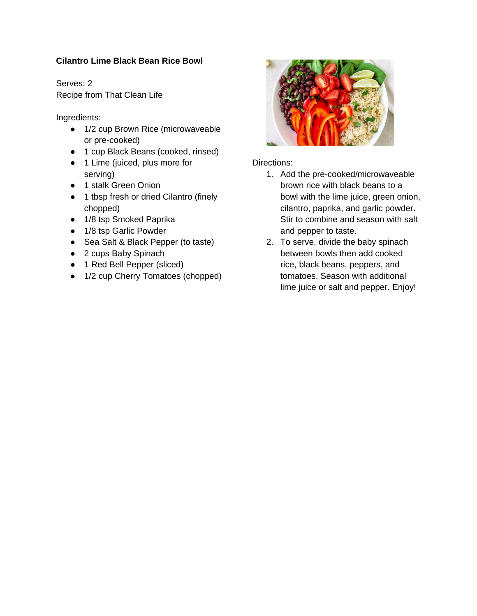# **Cilantro Lime Black Bean Rice Bowl**

Serves: 2 Recipe from That Clean Life

Ingredients:

- 1/2 cup Brown Rice (microwaveable or pre-cooked)
- 1 cup Black Beans (cooked, rinsed)
- 1 Lime (juiced, plus more for serving)
- 1 stalk Green Onion
- 1 tbsp fresh or dried Cilantro (finely chopped)
- 1/8 tsp Smoked Paprika
- 1/8 tsp Garlic Powder
- Sea Salt & Black Pepper (to taste)
- 2 cups Baby Spinach
- 1 Red Bell Pepper (sliced)
- 1/2 cup Cherry Tomatoes (chopped)



- 1. Add the pre-cooked/microwaveable brown rice with black beans to a bowl with the lime juice, green onion, cilantro, paprika, and garlic powder. Stir to combine and season with salt and pepper to taste.
- 2. To serve, divide the baby spinach between bowls then add cooked rice, black beans, peppers, and tomatoes. Season with additional lime juice or salt and pepper. Enjoy!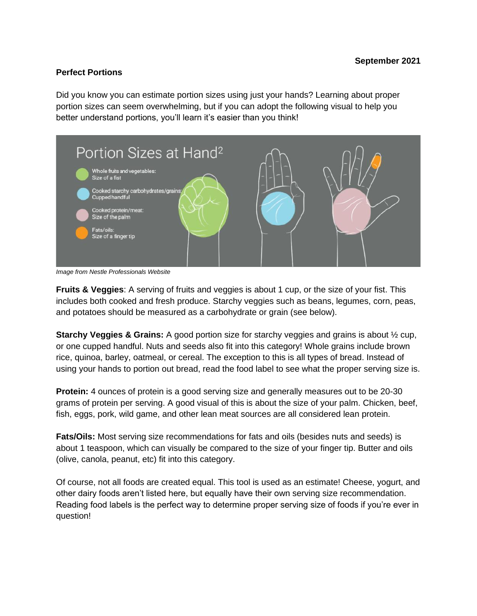#### **Perfect Portions**

Did you know you can estimate portion sizes using just your hands? Learning about proper portion sizes can seem overwhelming, but if you can adopt the following visual to help you better understand portions, you'll learn it's easier than you think!



*Image from Nestle Professionals Website*

**Fruits & Veggies**: A serving of fruits and veggies is about 1 cup, or the size of your fist. This includes both cooked and fresh produce. Starchy veggies such as beans, legumes, corn, peas, and potatoes should be measured as a carbohydrate or grain (see below).

**Starchy Veggies & Grains:** A good portion size for starchy veggies and grains is about ½ cup, or one cupped handful. Nuts and seeds also fit into this category! Whole grains include brown rice, quinoa, barley, oatmeal, or cereal. The exception to this is all types of bread. Instead of using your hands to portion out bread, read the food label to see what the proper serving size is.

**Protein:** 4 ounces of protein is a good serving size and generally measures out to be 20-30 grams of protein per serving. A good visual of this is about the size of your palm. Chicken, beef, fish, eggs, pork, wild game, and other lean meat sources are all considered lean protein.

**Fats/Oils:** Most serving size recommendations for fats and oils (besides nuts and seeds) is about 1 teaspoon, which can visually be compared to the size of your finger tip. Butter and oils (olive, canola, peanut, etc) fit into this category.

Of course, not all foods are created equal. This tool is used as an estimate! Cheese, yogurt, and other dairy foods aren't listed here, but equally have their own serving size recommendation. Reading food labels is the perfect way to determine proper serving size of foods if you're ever in question!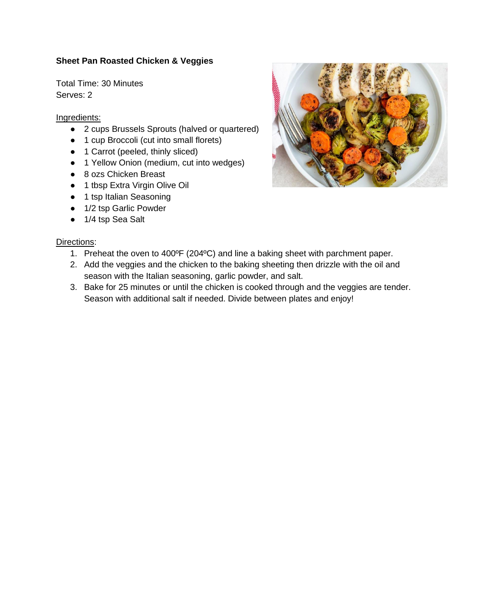# **Sheet Pan Roasted Chicken & Veggies**

Total Time: 30 Minutes Serves: 2

#### Ingredients:

- 2 cups Brussels Sprouts (halved or quartered)
- 1 cup Broccoli (cut into small florets)
- 1 Carrot (peeled, thinly sliced)
- 1 Yellow Onion (medium, cut into wedges)
- 8 ozs Chicken Breast
- 1 tbsp Extra Virgin Olive Oil
- 1 tsp Italian Seasoning
- 1/2 tsp Garlic Powder
- 1/4 tsp Sea Salt

- 1. Preheat the oven to 400ºF (204ºC) and line a baking sheet with parchment paper.
- 2. Add the veggies and the chicken to the baking sheeting then drizzle with the oil and season with the Italian seasoning, garlic powder, and salt.
- 3. Bake for 25 minutes or until the chicken is cooked through and the veggies are tender. Season with additional salt if needed. Divide between plates and enjoy!

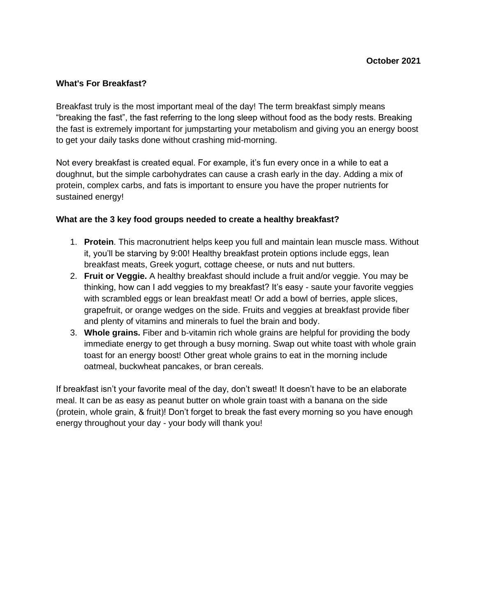### **What's For Breakfast?**

Breakfast truly is the most important meal of the day! The term breakfast simply means "breaking the fast", the fast referring to the long sleep without food as the body rests. Breaking the fast is extremely important for jumpstarting your metabolism and giving you an energy boost to get your daily tasks done without crashing mid-morning.

Not every breakfast is created equal. For example, it's fun every once in a while to eat a doughnut, but the simple carbohydrates can cause a crash early in the day. Adding a mix of protein, complex carbs, and fats is important to ensure you have the proper nutrients for sustained energy!

#### **What are the 3 key food groups needed to create a healthy breakfast?**

- 1. **Protein**. This macronutrient helps keep you full and maintain lean muscle mass. Without it, you'll be starving by 9:00! Healthy breakfast protein options include eggs, lean breakfast meats, Greek yogurt, cottage cheese, or nuts and nut butters.
- 2. **Fruit or Veggie.** A healthy breakfast should include a fruit and/or veggie. You may be thinking, how can I add veggies to my breakfast? It's easy - saute your favorite veggies with scrambled eggs or lean breakfast meat! Or add a bowl of berries, apple slices, grapefruit, or orange wedges on the side. Fruits and veggies at breakfast provide fiber and plenty of vitamins and minerals to fuel the brain and body.
- 3. **Whole grains.** Fiber and b-vitamin rich whole grains are helpful for providing the body immediate energy to get through a busy morning. Swap out white toast with whole grain toast for an energy boost! Other great whole grains to eat in the morning include oatmeal, buckwheat pancakes, or bran cereals.

If breakfast isn't your favorite meal of the day, don't sweat! It doesn't have to be an elaborate meal. It can be as easy as peanut butter on whole grain toast with a banana on the side (protein, whole grain, & fruit)! Don't forget to break the fast every morning so you have enough energy throughout your day - your body will thank you!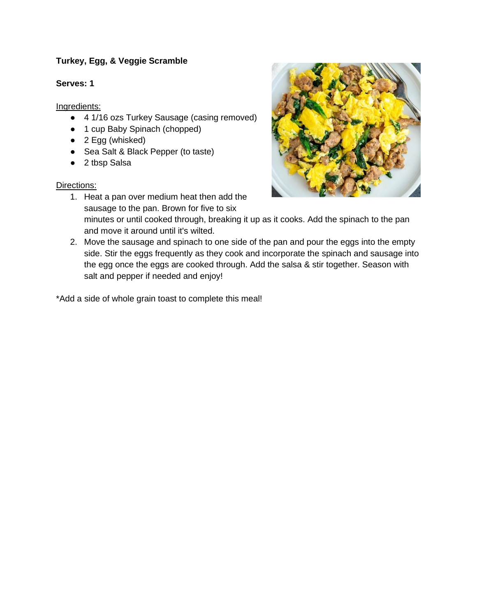# **Turkey, Egg, & Veggie Scramble**

# **Serves: 1**

Ingredients:

- 4 1/16 ozs Turkey Sausage (casing removed)
- 1 cup Baby Spinach (chopped)
- 2 Egg (whisked)
- Sea Salt & Black Pepper (to taste)
- 2 tbsp Salsa

## Directions:

- 1. Heat a pan over medium heat then add the sausage to the pan. Brown for five to six minutes or until cooked through, breaking it up as it cooks. Add the spinach to the pan and move it around until it's wilted.
- 2. Move the sausage and spinach to one side of the pan and pour the eggs into the empty side. Stir the eggs frequently as they cook and incorporate the spinach and sausage into the egg once the eggs are cooked through. Add the salsa & stir together. Season with salt and pepper if needed and enjoy!

\*Add a side of whole grain toast to complete this meal!

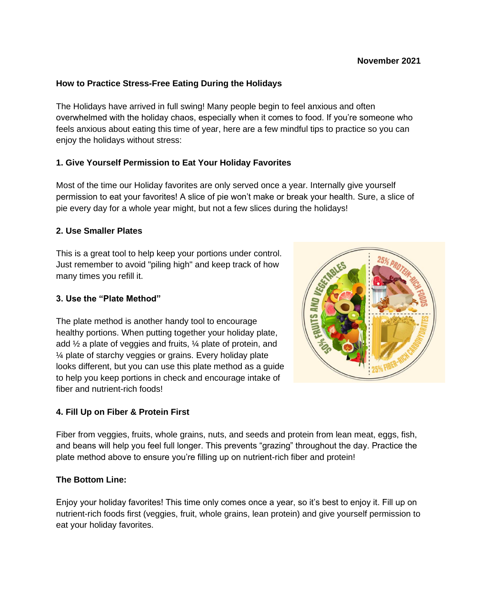# **How to Practice Stress-Free Eating During the Holidays**

The Holidays have arrived in full swing! Many people begin to feel anxious and often overwhelmed with the holiday chaos, especially when it comes to food. If you're someone who feels anxious about eating this time of year, here are a few mindful tips to practice so you can enjoy the holidays without stress:

# **1. Give Yourself Permission to Eat Your Holiday Favorites**

Most of the time our Holiday favorites are only served once a year. Internally give yourself permission to eat your favorites! A slice of pie won't make or break your health. Sure, a slice of pie every day for a whole year might, but not a few slices during the holidays!

### **2. Use Smaller Plates**

This is a great tool to help keep your portions under control. Just remember to avoid "piling high" and keep track of how many times you refill it.

### **3. Use the "Plate Method"**

The plate method is another handy tool to encourage healthy portions. When putting together your holiday plate, add ½ a plate of veggies and fruits, ¼ plate of protein, and ¼ plate of starchy veggies or grains. Every holiday plate looks different, but you can use this plate method as a guide to help you keep portions in check and encourage intake of fiber and nutrient-rich foods!

### **4. Fill Up on Fiber & Protein First**

Fiber from veggies, fruits, whole grains, nuts, and seeds and protein from lean meat, eggs, fish, and beans will help you feel full longer. This prevents "grazing" throughout the day. Practice the plate method above to ensure you're filling up on nutrient-rich fiber and protein!

### **The Bottom Line:**

Enjoy your holiday favorites! This time only comes once a year, so it's best to enjoy it. Fill up on nutrient-rich foods first (veggies, fruit, whole grains, lean protein) and give yourself permission to eat your holiday favorites.

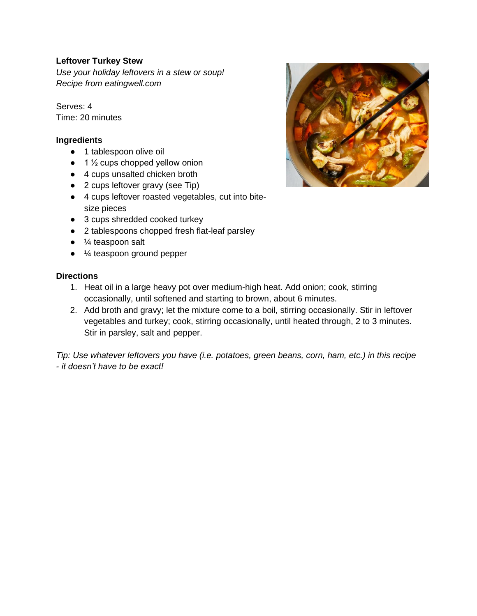## **Leftover Turkey Stew**

*Use your holiday leftovers in a stew or soup! Recipe from eatingwell.com*

Serves: 4 Time: 20 minutes

## **Ingredients**

- 1 tablespoon olive oil
- $\bullet$  1  $\frac{1}{2}$  cups chopped yellow onion
- 4 cups unsalted chicken broth
- 2 cups leftover gravy (see Tip)
- 4 cups leftover roasted vegetables, cut into bitesize pieces
- 3 cups shredded cooked turkey
- 2 tablespoons chopped fresh flat-leaf parsley
- $\bullet$   $\frac{1}{4}$  teaspoon salt
- ¼ teaspoon ground pepper

## **Directions**

- 1. Heat oil in a large heavy pot over medium-high heat. Add onion; cook, stirring occasionally, until softened and starting to brown, about 6 minutes.
- 2. Add broth and gravy; let the mixture come to a boil, stirring occasionally. Stir in leftover vegetables and turkey; cook, stirring occasionally, until heated through, 2 to 3 minutes. Stir in parsley, salt and pepper.

*Tip: Use whatever leftovers you have (i.e. potatoes, green beans, corn, ham, etc.) in this recipe - it doesn't have to be exact!*

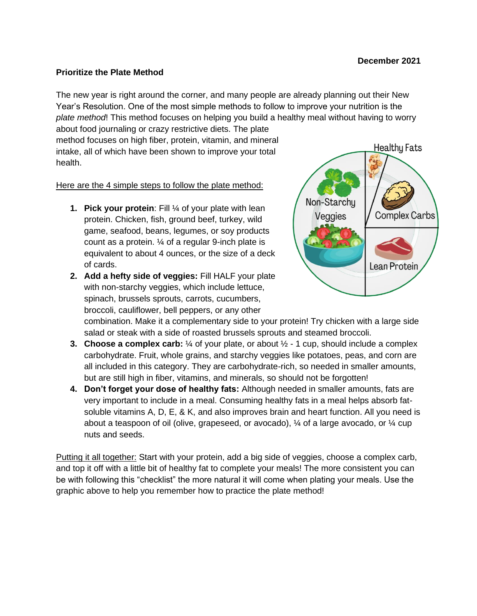#### **December 2021**

#### **Prioritize the Plate Method**

The new year is right around the corner, and many people are already planning out their New Year's Resolution. One of the most simple methods to follow to improve your nutrition is the *plate method*! This method focuses on helping you build a healthy meal without having to worry

about food journaling or crazy restrictive diets. The plate method focuses on high fiber, protein, vitamin, and mineral intake, all of which have been shown to improve your total health.

Here are the 4 simple steps to follow the plate method:

- **1. Pick your protein**: Fill ¼ of your plate with lean protein. Chicken, fish, ground beef, turkey, wild game, seafood, beans, legumes, or soy products count as a protein. ¼ of a regular 9-inch plate is equivalent to about 4 ounces, or the size of a deck of cards.
- **2. Add a hefty side of veggies:** Fill HALF your plate with non-starchy veggies, which include lettuce, spinach, brussels sprouts, carrots, cucumbers, broccoli, cauliflower, bell peppers, or any other



combination. Make it a complementary side to your protein! Try chicken with a large side salad or steak with a side of roasted brussels sprouts and steamed broccoli.

- **3. Choose a complex carb:** ¼ of your plate, or about ½ 1 cup, should include a complex carbohydrate. Fruit, whole grains, and starchy veggies like potatoes, peas, and corn are all included in this category. They are carbohydrate-rich, so needed in smaller amounts, but are still high in fiber, vitamins, and minerals, so should not be forgotten!
- **4. Don't forget your dose of healthy fats:** Although needed in smaller amounts, fats are very important to include in a meal. Consuming healthy fats in a meal helps absorb fatsoluble vitamins A, D, E, & K, and also improves brain and heart function. All you need is about a teaspoon of oil (olive, grapeseed, or avocado),  $\frac{1}{4}$  of a large avocado, or  $\frac{1}{4}$  cup nuts and seeds.

Putting it all together: Start with your protein, add a big side of veggies, choose a complex carb, and top it off with a little bit of healthy fat to complete your meals! The more consistent you can be with following this "checklist" the more natural it will come when plating your meals. Use the graphic above to help you remember how to practice the plate method!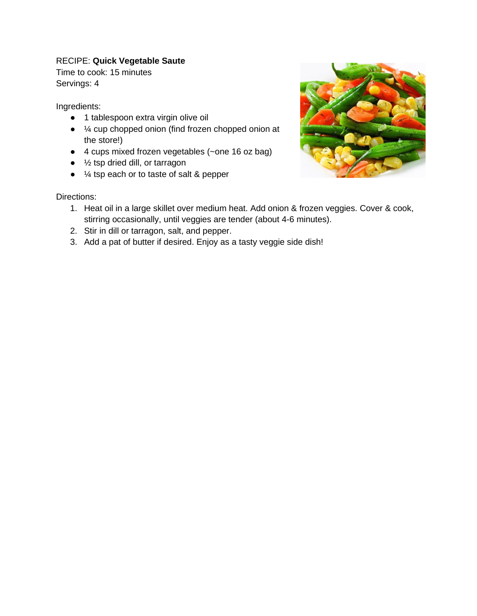# RECIPE: **Quick Vegetable Saute**

Time to cook: 15 minutes Servings: 4

Ingredients:

- 1 tablespoon extra virgin olive oil
- ¼ cup chopped onion (find frozen chopped onion at the store!)
- 4 cups mixed frozen vegetables (~one 16 oz bag)
- $\bullet$   $\frac{1}{2}$  tsp dried dill, or tarragon
- ¼ tsp each or to taste of salt & pepper

- 1. Heat oil in a large skillet over medium heat. Add onion & frozen veggies. Cover & cook, stirring occasionally, until veggies are tender (about 4-6 minutes).
- 2. Stir in dill or tarragon, salt, and pepper.
- 3. Add a pat of butter if desired. Enjoy as a tasty veggie side dish!

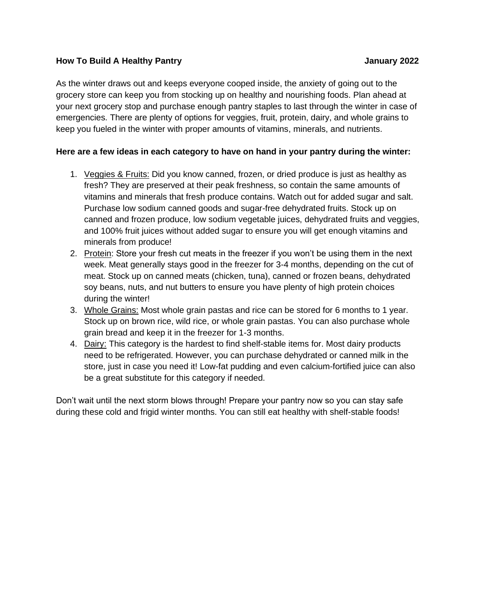## **How To Build A Healthy Pantry January 2022**

As the winter draws out and keeps everyone cooped inside, the anxiety of going out to the grocery store can keep you from stocking up on healthy and nourishing foods. Plan ahead at your next grocery stop and purchase enough pantry staples to last through the winter in case of emergencies. There are plenty of options for veggies, fruit, protein, dairy, and whole grains to keep you fueled in the winter with proper amounts of vitamins, minerals, and nutrients.

## **Here are a few ideas in each category to have on hand in your pantry during the winter:**

- 1. Veggies & Fruits: Did you know canned, frozen, or dried produce is just as healthy as fresh? They are preserved at their peak freshness, so contain the same amounts of vitamins and minerals that fresh produce contains. Watch out for added sugar and salt. Purchase low sodium canned goods and sugar-free dehydrated fruits. Stock up on canned and frozen produce, low sodium vegetable juices, dehydrated fruits and veggies, and 100% fruit juices without added sugar to ensure you will get enough vitamins and minerals from produce!
- 2. Protein: Store your fresh cut meats in the freezer if you won't be using them in the next week. Meat generally stays good in the freezer for 3-4 months, depending on the cut of meat. Stock up on canned meats (chicken, tuna), canned or frozen beans, dehydrated soy beans, nuts, and nut butters to ensure you have plenty of high protein choices during the winter!
- 3. Whole Grains: Most whole grain pastas and rice can be stored for 6 months to 1 year. Stock up on brown rice, wild rice, or whole grain pastas. You can also purchase whole grain bread and keep it in the freezer for 1-3 months.
- 4. Dairy: This category is the hardest to find shelf-stable items for. Most dairy products need to be refrigerated. However, you can purchase dehydrated or canned milk in the store, just in case you need it! Low-fat pudding and even calcium-fortified juice can also be a great substitute for this category if needed.

Don't wait until the next storm blows through! Prepare your pantry now so you can stay safe during these cold and frigid winter months. You can still eat healthy with shelf-stable foods!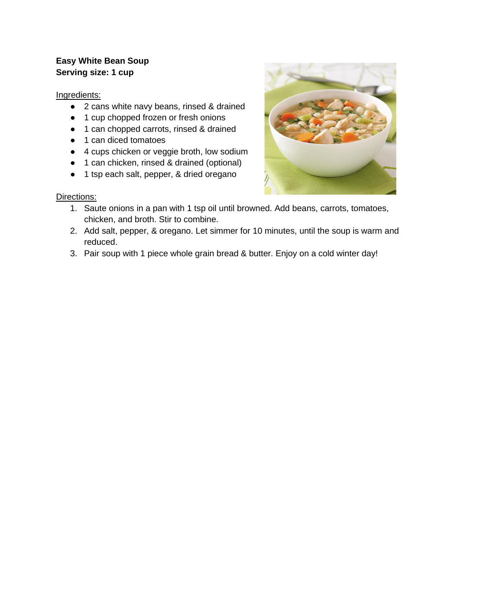# **Easy White Bean Soup Serving size: 1 cup**

Ingredients:

- 2 cans white navy beans, rinsed & drained
- 1 cup chopped frozen or fresh onions
- 1 can chopped carrots, rinsed & drained
- 1 can diced tomatoes
- 4 cups chicken or veggie broth, low sodium
- 1 can chicken, rinsed & drained (optional)
- 1 tsp each salt, pepper, & dried oregano

- 1. Saute onions in a pan with 1 tsp oil until browned. Add beans, carrots, tomatoes, chicken, and broth. Stir to combine.
- 2. Add salt, pepper, & oregano. Let simmer for 10 minutes, until the soup is warm and reduced.
- 3. Pair soup with 1 piece whole grain bread & butter. Enjoy on a cold winter day!

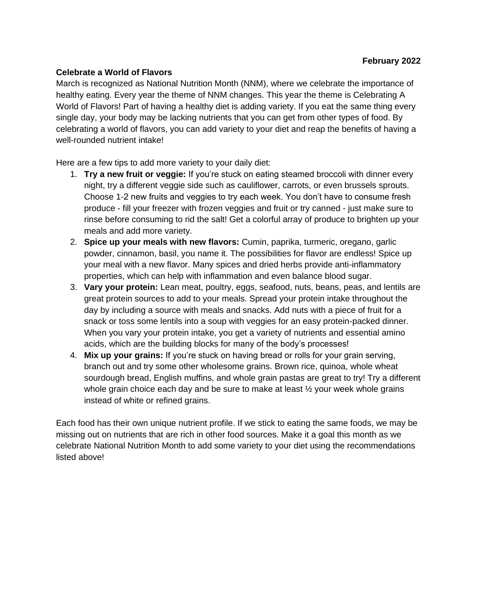## **Celebrate a World of Flavors**

March is recognized as National Nutrition Month (NNM), where we celebrate the importance of healthy eating. Every year the theme of NNM changes. This year the theme is Celebrating A World of Flavors! Part of having a healthy diet is adding variety. If you eat the same thing every single day, your body may be lacking nutrients that you can get from other types of food. By celebrating a world of flavors, you can add variety to your diet and reap the benefits of having a well-rounded nutrient intake!

Here are a few tips to add more variety to your daily diet:

- 1. **Try a new fruit or veggie:** If you're stuck on eating steamed broccoli with dinner every night, try a different veggie side such as cauliflower, carrots, or even brussels sprouts. Choose 1-2 new fruits and veggies to try each week. You don't have to consume fresh produce - fill your freezer with frozen veggies and fruit or try canned - just make sure to rinse before consuming to rid the salt! Get a colorful array of produce to brighten up your meals and add more variety.
- 2. **Spice up your meals with new flavors:** Cumin, paprika, turmeric, oregano, garlic powder, cinnamon, basil, you name it. The possibilities for flavor are endless! Spice up your meal with a new flavor. Many spices and dried herbs provide anti-inflammatory properties, which can help with inflammation and even balance blood sugar.
- 3. **Vary your protein:** Lean meat, poultry, eggs, seafood, nuts, beans, peas, and lentils are great protein sources to add to your meals. Spread your protein intake throughout the day by including a source with meals and snacks. Add nuts with a piece of fruit for a snack or toss some lentils into a soup with veggies for an easy protein-packed dinner. When you vary your protein intake, you get a variety of nutrients and essential amino acids, which are the building blocks for many of the body's processes!
- 4. **Mix up your grains:** If you're stuck on having bread or rolls for your grain serving, branch out and try some other wholesome grains. Brown rice, quinoa, whole wheat sourdough bread, English muffins, and whole grain pastas are great to try! Try a different whole grain choice each day and be sure to make at least  $\frac{1}{2}$  your week whole grains instead of white or refined grains.

Each food has their own unique nutrient profile. If we stick to eating the same foods, we may be missing out on nutrients that are rich in other food sources. Make it a goal this month as we celebrate National Nutrition Month to add some variety to your diet using the recommendations listed above!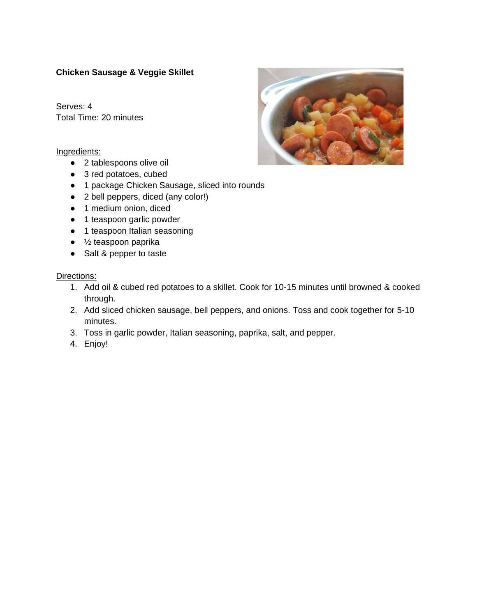# **Chicken Sausage & Veggie Skillet**

Serves: 4 Total Time: 20 minutes

#### Ingredients:

- 2 tablespoons olive oil
- 3 red potatoes, cubed
- 1 package Chicken Sausage, sliced into rounds
- 2 bell peppers, diced (any color!)
- 1 medium onion, diced
- 1 teaspoon garlic powder
- 1 teaspoon Italian seasoning
- ½ teaspoon paprika
- Salt & pepper to taste

- 1. Add oil & cubed red potatoes to a skillet. Cook for 10-15 minutes until browned & cooked through.
- 2. Add sliced chicken sausage, bell peppers, and onions. Toss and cook together for 5-10 minutes.
- 3. Toss in garlic powder, Italian seasoning, paprika, salt, and pepper.
- 4. Enjoy!

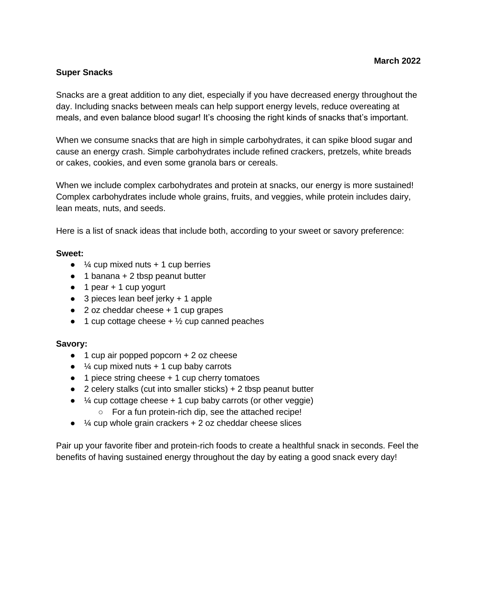### **Super Snacks**

Snacks are a great addition to any diet, especially if you have decreased energy throughout the day. Including snacks between meals can help support energy levels, reduce overeating at meals, and even balance blood sugar! It's choosing the right kinds of snacks that's important.

When we consume snacks that are high in simple carbohydrates, it can spike blood sugar and cause an energy crash. Simple carbohydrates include refined crackers, pretzels, white breads or cakes, cookies, and even some granola bars or cereals.

When we include complex carbohydrates and protein at snacks, our energy is more sustained! Complex carbohydrates include whole grains, fruits, and veggies, while protein includes dairy, lean meats, nuts, and seeds.

Here is a list of snack ideas that include both, according to your sweet or savory preference:

#### **Sweet:**

- $\bullet$   $\frac{1}{4}$  cup mixed nuts + 1 cup berries
- $\bullet$  1 banana + 2 tbsp peanut butter
- $\bullet$  1 pear + 1 cup yogurt
- 3 pieces lean beef jerky + 1 apple
- $\bullet$  2 oz cheddar cheese  $+1$  cup grapes
- $\bullet$  1 cup cottage cheese +  $\frac{1}{2}$  cup canned peaches

### **Savory:**

- $\bullet$  1 cup air popped popcorn  $+ 2$  oz cheese
- $\bullet$   $\frac{1}{4}$  cup mixed nuts + 1 cup baby carrots
- $\bullet$  1 piece string cheese  $+$  1 cup cherry tomatoes
- $\bullet$  2 celery stalks (cut into smaller sticks) + 2 tbsp peanut butter
- $\bullet$  % cup cottage cheese  $+1$  cup baby carrots (or other veggie)
	- For a fun protein-rich dip, see the attached recipe!
- $\bullet$   $\frac{1}{4}$  cup whole grain crackers  $+2$  oz cheddar cheese slices

Pair up your favorite fiber and protein-rich foods to create a healthful snack in seconds. Feel the benefits of having sustained energy throughout the day by eating a good snack every day!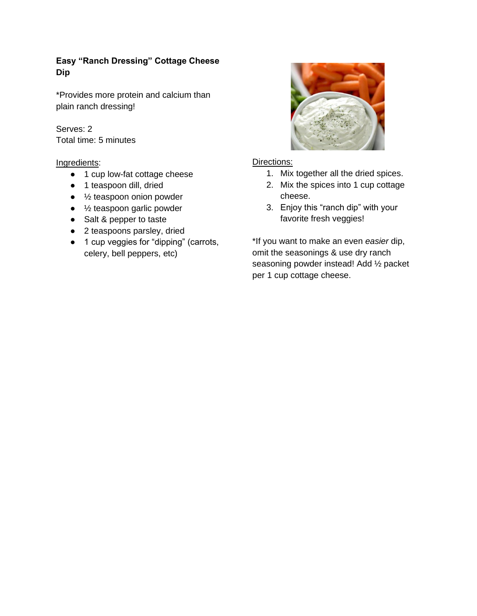# **Easy "Ranch Dressing" Cottage Cheese Dip**

\*Provides more protein and calcium than plain ranch dressing!

Serves: 2 Total time: 5 minutes

## Ingredients:

- 1 cup low-fat cottage cheese
- 1 teaspoon dill, dried
- $\bullet$   $\frac{1}{2}$  teaspoon onion powder
- ½ teaspoon garlic powder
- Salt & pepper to taste
- 2 teaspoons parsley, dried
- 1 cup veggies for "dipping" (carrots, celery, bell peppers, etc)



## Directions:

- 1. Mix together all the dried spices.
- 2. Mix the spices into 1 cup cottage cheese.
- 3. Enjoy this "ranch dip" with your favorite fresh veggies!

\*If you want to make an even *easier* dip, omit the seasonings & use dry ranch seasoning powder instead! Add ½ packet per 1 cup cottage cheese.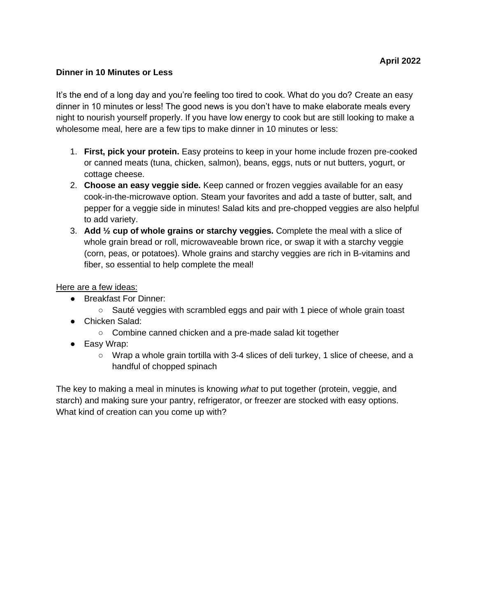### **Dinner in 10 Minutes or Less**

It's the end of a long day and you're feeling too tired to cook. What do you do? Create an easy dinner in 10 minutes or less! The good news is you don't have to make elaborate meals every night to nourish yourself properly. If you have low energy to cook but are still looking to make a wholesome meal, here are a few tips to make dinner in 10 minutes or less:

- 1. **First, pick your protein.** Easy proteins to keep in your home include frozen pre-cooked or canned meats (tuna, chicken, salmon), beans, eggs, nuts or nut butters, yogurt, or cottage cheese.
- 2. **Choose an easy veggie side.** Keep canned or frozen veggies available for an easy cook-in-the-microwave option. Steam your favorites and add a taste of butter, salt, and pepper for a veggie side in minutes! Salad kits and pre-chopped veggies are also helpful to add variety.
- 3. **Add ½ cup of whole grains or starchy veggies.** Complete the meal with a slice of whole grain bread or roll, microwaveable brown rice, or swap it with a starchy veggie (corn, peas, or potatoes). Whole grains and starchy veggies are rich in B-vitamins and fiber, so essential to help complete the meal!

#### Here are a few ideas:

- Breakfast For Dinner:
	- Sauté veggies with scrambled eggs and pair with 1 piece of whole grain toast
- Chicken Salad:
	- Combine canned chicken and a pre-made salad kit together
- Easy Wrap:
	- $\circ$  Wrap a whole grain tortilla with 3-4 slices of deli turkey, 1 slice of cheese, and a handful of chopped spinach

The key to making a meal in minutes is knowing *what* to put together (protein, veggie, and starch) and making sure your pantry, refrigerator, or freezer are stocked with easy options. What kind of creation can you come up with?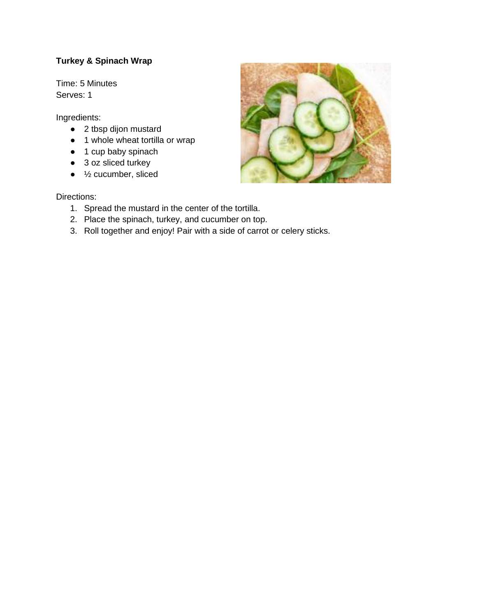# **Turkey & Spinach Wrap**

Time: 5 Minutes Serves: 1

Ingredients:

- 2 tbsp dijon mustard
- 1 whole wheat tortilla or wrap
- 1 cup baby spinach
- 3 oz sliced turkey
- $\bullet$   $\frac{1}{2}$  cucumber, sliced

- 1. Spread the mustard in the center of the tortilla.
- 2. Place the spinach, turkey, and cucumber on top.
- 3. Roll together and enjoy! Pair with a side of carrot or celery sticks.

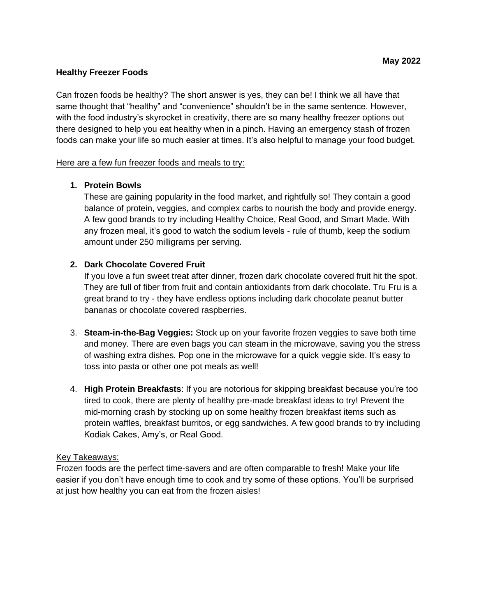### **Healthy Freezer Foods**

Can frozen foods be healthy? The short answer is yes, they can be! I think we all have that same thought that "healthy" and "convenience" shouldn't be in the same sentence. However, with the food industry's skyrocket in creativity, there are so many healthy freezer options out there designed to help you eat healthy when in a pinch. Having an emergency stash of frozen foods can make your life so much easier at times. It's also helpful to manage your food budget.

## Here are a few fun freezer foods and meals to try:

## **1. Protein Bowls**

These are gaining popularity in the food market, and rightfully so! They contain a good balance of protein, veggies, and complex carbs to nourish the body and provide energy. A few good brands to try including Healthy Choice, Real Good, and Smart Made. With any frozen meal, it's good to watch the sodium levels - rule of thumb, keep the sodium amount under 250 milligrams per serving.

# **2. Dark Chocolate Covered Fruit**

If you love a fun sweet treat after dinner, frozen dark chocolate covered fruit hit the spot. They are full of fiber from fruit and contain antioxidants from dark chocolate. Tru Fru is a great brand to try - they have endless options including dark chocolate peanut butter bananas or chocolate covered raspberries.

- 3. **Steam-in-the-Bag Veggies:** Stock up on your favorite frozen veggies to save both time and money. There are even bags you can steam in the microwave, saving you the stress of washing extra dishes. Pop one in the microwave for a quick veggie side. It's easy to toss into pasta or other one pot meals as well!
- 4. **High Protein Breakfasts**: If you are notorious for skipping breakfast because you're too tired to cook, there are plenty of healthy pre-made breakfast ideas to try! Prevent the mid-morning crash by stocking up on some healthy frozen breakfast items such as protein waffles, breakfast burritos, or egg sandwiches. A few good brands to try including Kodiak Cakes, Amy's, or Real Good.

### Key Takeaways:

Frozen foods are the perfect time-savers and are often comparable to fresh! Make your life easier if you don't have enough time to cook and try some of these options. You'll be surprised at just how healthy you can eat from the frozen aisles!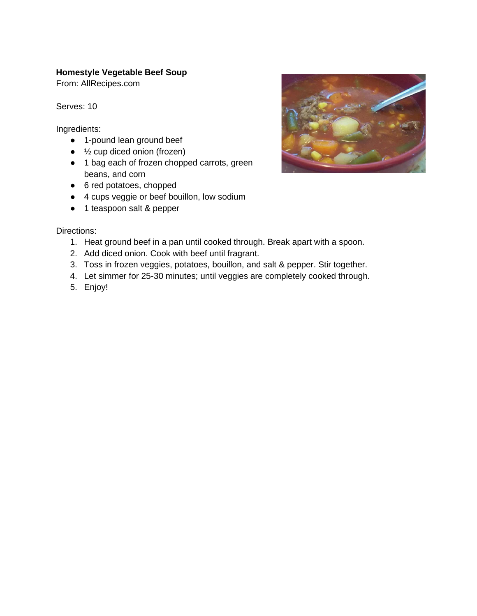# **Homestyle Vegetable Beef Soup**

From: AllRecipes.com

Serves: 10

Ingredients:

- 1-pound lean ground beef
- $\bullet$   $\frac{1}{2}$  cup diced onion (frozen)
- 1 bag each of frozen chopped carrots, green beans, and corn
- 6 red potatoes, chopped
- 4 cups veggie or beef bouillon, low sodium
- 1 teaspoon salt & pepper

- 1. Heat ground beef in a pan until cooked through. Break apart with a spoon.
- 2. Add diced onion. Cook with beef until fragrant.
- 3. Toss in frozen veggies, potatoes, bouillon, and salt & pepper. Stir together.
- 4. Let simmer for 25-30 minutes; until veggies are completely cooked through.
- 5. Enjoy!

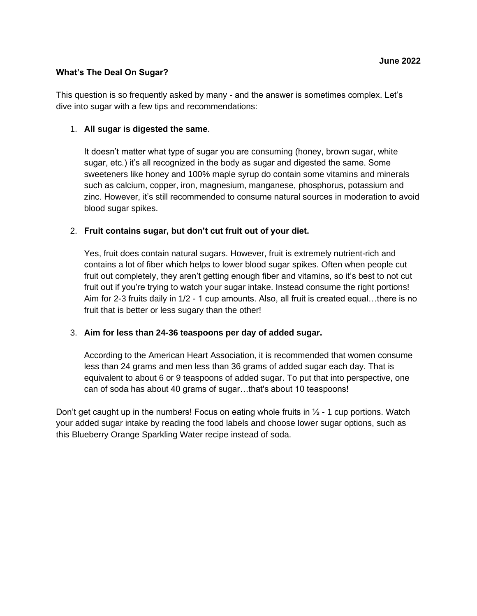### **What's The Deal On Sugar?**

This question is so frequently asked by many - and the answer is sometimes complex. Let's dive into sugar with a few tips and recommendations:

#### 1. **All sugar is digested the same**.

It doesn't matter what type of sugar you are consuming (honey, brown sugar, white sugar, etc.) it's all recognized in the body as sugar and digested the same. Some sweeteners like honey and 100% maple syrup do contain some vitamins and minerals such as calcium, copper, iron, magnesium, manganese, phosphorus, potassium and zinc. However, it's still recommended to consume natural sources in moderation to avoid blood sugar spikes.

### 2. **Fruit contains sugar, but don't cut fruit out of your diet.**

Yes, fruit does contain natural sugars. However, fruit is extremely nutrient-rich and contains a lot of fiber which helps to lower blood sugar spikes. Often when people cut fruit out completely, they aren't getting enough fiber and vitamins, so it's best to not cut fruit out if you're trying to watch your sugar intake. Instead consume the right portions! Aim for 2-3 fruits daily in 1/2 - 1 cup amounts. Also, all fruit is created equal…there is no fruit that is better or less sugary than the other!

### 3. **Aim for less than 24-36 teaspoons per day of added sugar.**

According to the American Heart Association, it is recommended that women consume less than 24 grams and men less than 36 grams of added sugar each day. That is equivalent to about 6 or 9 teaspoons of added sugar. To put that into perspective, one can of soda has about 40 grams of sugar…that's about 10 teaspoons!

Don't get caught up in the numbers! Focus on eating whole fruits in  $\frac{1}{2}$  - 1 cup portions. Watch your added sugar intake by reading the food labels and choose lower sugar options, such as this Blueberry Orange Sparkling Water recipe instead of soda.